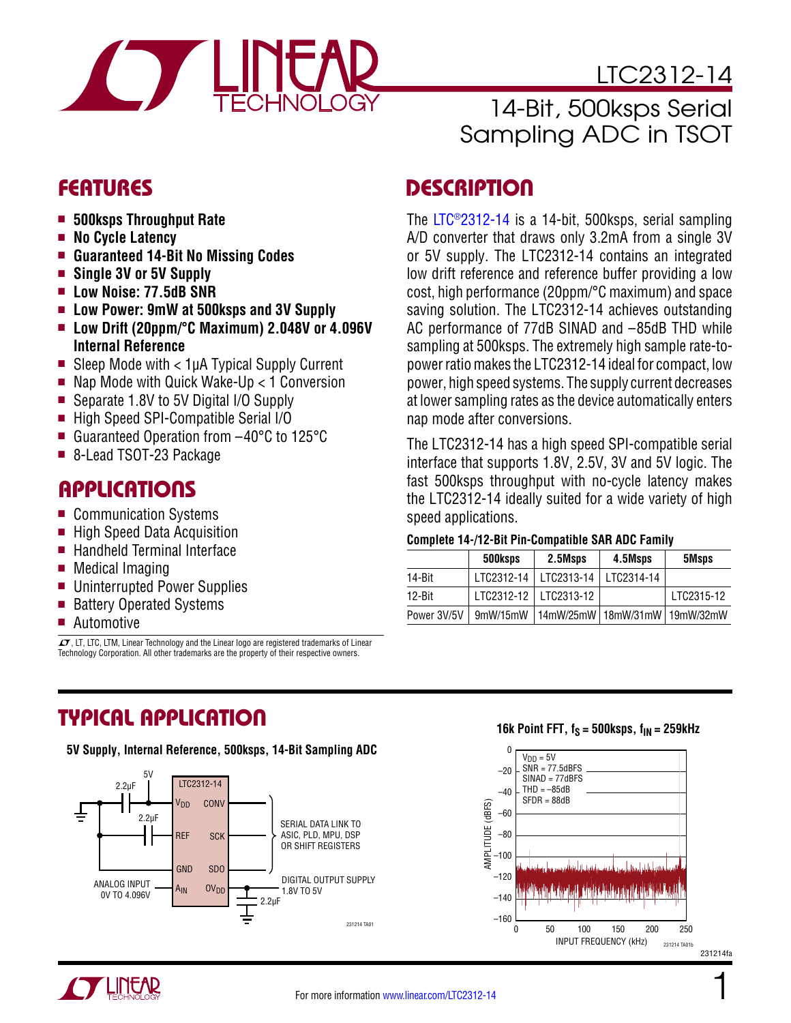

LTC2312-14

# 14-Bit, 500ksps Serial Sampling ADC in TSOT

- 500ksps Throughput Rate
- **No Cycle Latency**
- <sup>n</sup> **Guaranteed 14-Bit No Missing Codes**
- **n** Single 3V or 5V Supply
- <sup>n</sup> **Low Noise: 77.5dB SNR**
- Low Power: 9mW at 500ksps and 3V Supply
- Low Drift (20ppm/°C Maximum) 2.048V or 4.096V **Internal Reference**
- Sleep Mode with  $<$  1µA Typical Supply Current
- $\blacksquare$  Nap Mode with Quick Wake-Up < 1 Conversion
- Separate 1.8V to 5V Digital I/O Supply
- High Speed SPI-Compatible Serial I/O
- Guaranteed Operation from  $-40^{\circ}$ C to 125 $^{\circ}$ C
- 8-Lead TSOT-23 Package

### **APPLICATIONS**

- Communication Systems
- High Speed Data Acquisition
- $\blacksquare$  Handheld Terminal Interface
- $\blacksquare$  Medical Imaging
- Uninterrupted Power Supplies
- Battery Operated Systems
- $\blacksquare$  Automotive

 $\overline{\mathcal{L}}$ , LT, LTC, LTM, Linear Technology and the Linear logo are registered trademarks of Linear Technology Corporation. All other trademarks are the property of their respective owners.

# FEATURES DESCRIPTION

The [LTC®2312-14](http://www.linear.com/LTC2312-14) is a 14-bit, 500ksps, serial sampling A/D converter that draws only 3.2mA from a single 3V or 5V supply. The LTC2312-14 contains an integrated low drift reference and reference buffer providing a low cost, high performance (20ppm/°C maximum) and space saving solution. The LTC2312-14 achieves outstanding AC performance of 77dB SINAD and –85dB THD while sampling at 500ksps. The extremely high sample rate-topower ratio makes the LTC2312-14 ideal for compact, low power, high speed systems. The supply current decreases at lower sampling rates as the device automatically enters nap mode after conversions.

The LTC2312-14 has a high speed SPI-compatible serial interface that supports 1.8V, 2.5V, 3V and 5V logic. The fast 500ksps throughput with no-cycle latency makes the LTC2312-14 ideally suited for a wide variety of high speed applications.

#### **Complete 14-/12-Bit Pin-Compatible SAR ADC Family**

|             | 500ksps    | 2.5Msps                           | 4.5Msps    | 5Msps      |
|-------------|------------|-----------------------------------|------------|------------|
| 14-Bit      | LTC2312-14 | LTC2313-14                        | LTC2314-14 |            |
| 12-Bit      |            | LTC2312-12   LTC2313-12           |            | LTC2315-12 |
| Power 3V/5V | 9mW/15mW   | 14mW/25mW   18mW/31mW   19mW/32mW |            |            |

## TYPICAL APPLICATION

**5V Supply, Internal Reference, 500ksps, 14-Bit Sampling ADC**



#### **16k Point FFT,**  $f_S = 500$ **ksps,**  $f_{IN} = 259$ **kHz**

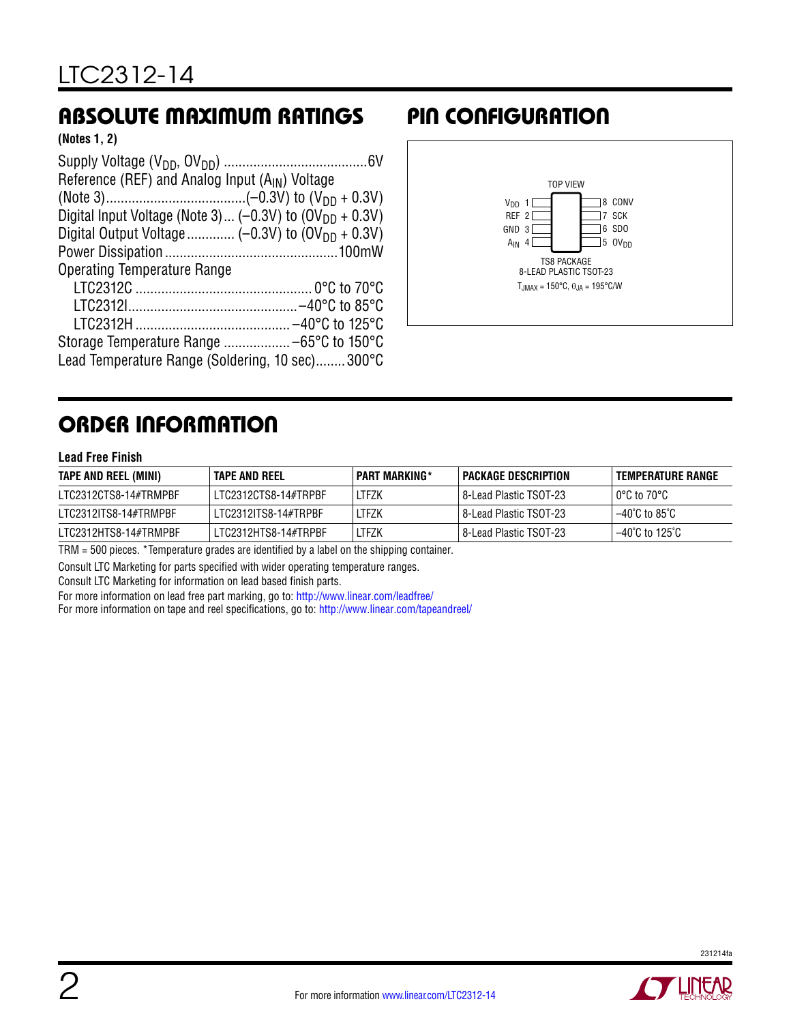# ABSOLUTE MAXIMUM RATINGS PIN CONFIGURATION

**(Notes 1, 2)**

| Reference (REF) and Analog Input (A <sub>IN</sub> ) Voltage         |
|---------------------------------------------------------------------|
|                                                                     |
| Digital Input Voltage (Note 3) (-0.3V) to (OV <sub>DD</sub> + 0.3V) |
|                                                                     |
|                                                                     |
| Operating Temperature Range                                         |
|                                                                     |
|                                                                     |
|                                                                     |
|                                                                     |
| Lead Temperature Range (Soldering, 10 sec)300°C                     |



# ORDER INFORMATION

#### **Lead Free Finish**

| TAPE AND REEL (MINI)  | TAPE AND REEL        | <b>PART MARKING*</b> | PACKAGE DESCRIPTION      | TEMPERATURE RANGE                                                                                                                                                                                                                        |
|-----------------------|----------------------|----------------------|--------------------------|------------------------------------------------------------------------------------------------------------------------------------------------------------------------------------------------------------------------------------------|
| LTC2312CTS8-14#TRMPBF | LTC2312CTS8-14#TRPBF | LTFZK                | l 8-Lead Plastic TSOT-23 | $\circ$ 0°C to 70°C                                                                                                                                                                                                                      |
| LTC2312ITS8-14#TRMPBF | LTC2312ITS8-14#TRPBF | LTFZK                | l 8-Lead Plastic TSOT-23 | $-40^{\circ}$ C to 85 $^{\circ}$ C is a matrix and a set of the set of the set of the set of the set of the set of the set of the set of the set of the set of the set of the set of the set of the set of the set of the set of the set |
| LTC2312HTS8-14#TRMPBF | LTC2312HTS8-14#TRPBF | ltfzk                | l 8-Lead Plastic TSOT-23 | $-40^{\circ}$ C to 125 $^{\circ}$ C                                                                                                                                                                                                      |

TRM = 500 pieces. \*Temperature grades are identified by a label on the shipping container.

Consult LTC Marketing for parts specified with wider operating temperature ranges.

Consult LTC Marketing for information on lead based finish parts.

For more information on lead free part marking, go to: http://www.linear.com/leadfree/

For more information on tape and reel specifications, go to: http://www.linear.com/tapeandreel/

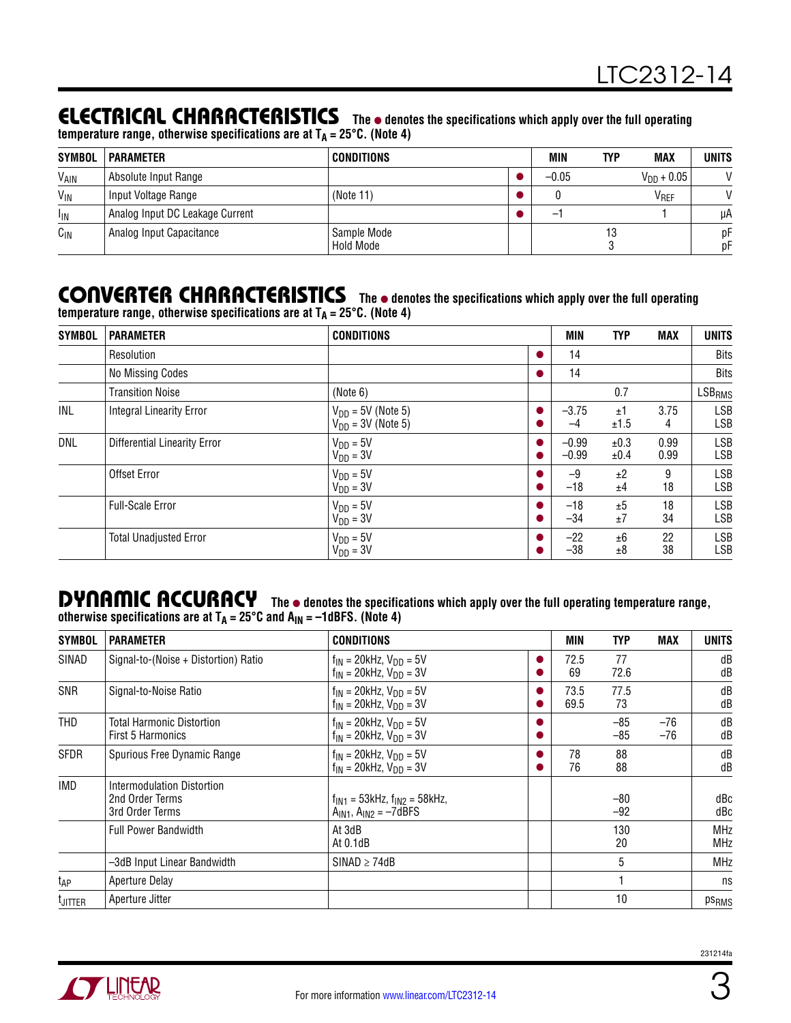### **ELECTRICAL CHARACTERISTICS** The  $\bullet$  denotes the specifications which apply over the full operating

temperature range, otherwise specifications are at T<sub>A</sub> = 25°C. (Note 4)

| <b>SYMBOL</b>         | <b>PARAMETER</b>                | <b>CONDITIONS</b>        | MIN     | TYP | <b>MAX</b>       | <b>UNITS</b>  |
|-----------------------|---------------------------------|--------------------------|---------|-----|------------------|---------------|
| V <sub>AIN</sub>      | Absolute Input Range            |                          | $-0.05$ |     | $V_{DD} + 0.05$  | $\mathcal{U}$ |
| $V_{\text{IN}}$       | Input Voltage Range             | (Note 11)                |         |     | V <sub>REF</sub> |               |
| <b>I<sub>IN</sub></b> | Analog Input DC Leakage Current |                          |         |     |                  | иA            |
| $C_{IN}$              | Analog Input Capacitance        | Sample Mode<br>Hold Mode |         |     |                  | рF<br>рF      |

#### CONVERTER CHARACTERISTICS The  $\bullet$  denotes the specifications which apply over the full operating temperature range, otherwise specifications are at T<sub>A</sub> = 25°C. (Note 4)

| <b>SYMBOL</b> | <b>PARAMETER</b>                    | <b>CONDITIONS</b>                                | <b>MIN</b>         | <b>TYP</b>   | <b>MAX</b>   | <b>UNITS</b>             |
|---------------|-------------------------------------|--------------------------------------------------|--------------------|--------------|--------------|--------------------------|
|               | Resolution                          |                                                  | 14                 |              |              | Bits                     |
|               | No Missing Codes                    |                                                  | 14                 |              |              | <b>Bits</b>              |
|               | <b>Transition Noise</b>             | (Note 6)                                         |                    | 0.7          |              | <b>LSB<sub>RMS</sub></b> |
| INL           | <b>Integral Linearity Error</b>     | $V_{DD}$ = 5V (Note 5)<br>$V_{DD}$ = 3V (Note 5) | $-3.75$<br>$-4$    | ±1<br>±1.5   | 3.75<br>4    | LSB<br>LSB               |
| <b>DNL</b>    | <b>Differential Linearity Error</b> | $V_{DD} = 5V$<br>$V_{DD} = 3V$                   | $-0.99$<br>$-0.99$ | ±0.3<br>±0.4 | 0.99<br>0.99 | <b>LSB</b><br>LSB        |
|               | Offset Error                        | $V_{DD} = 5V$<br>$V_{DD} = 3V$                   | $-9$<br>$-18$      | ±2<br>±4     | 9<br>18      | LSB<br>LSB               |
|               | <b>Full-Scale Error</b>             | $V_{DD} = 5V$<br>$V_{DD} = 3V$                   | $-18$<br>$-34$     | ±5<br>±7     | 18<br>34     | LSB<br>LSB               |
|               | <b>Total Unadjusted Error</b>       | $V_{DD} = 5V$<br>$VDD = 3V$                      | $-22$<br>$-38$     | ±6<br>±8     | 22<br>38     | LSB<br>LSB               |

#### DYNAMIC ACCURACY The  $\bullet$  denotes the specifications which apply over the full operating temperature range, otherwise specifications are at T<sub>A</sub> = 25°C and A<sub>IN</sub> = –1dBFS. (Note 4)

| <b>SYMBOL</b>   | <b>PARAMETER</b>                                                 | <b>CONDITIONS</b>                                                  | <b>MIN</b>   | <b>TYP</b>     | <b>MAX</b>   | UNITS                    |
|-----------------|------------------------------------------------------------------|--------------------------------------------------------------------|--------------|----------------|--------------|--------------------------|
| SINAD           | Signal-to-(Noise + Distortion) Ratio                             | $f_{IN}$ = 20kHz, $V_{DD}$ = 5V<br>$f_{IN}$ = 20kHz, $V_{DD}$ = 3V | 72.5<br>69   | 77<br>72.6     |              | dB<br>dB                 |
| SNR             | Signal-to-Noise Ratio                                            | $f_{IN}$ = 20kHz, $V_{DD}$ = 5V<br>$f_{IN}$ = 20kHz, $V_{DD}$ = 3V | 73.5<br>69.5 | 77.5<br>73     |              | dB<br>dB                 |
| THD             | <b>Total Harmonic Distortion</b><br>First 5 Harmonics            | $f_{IN}$ = 20kHz, $V_{DD}$ = 5V<br>$f_{IN}$ = 20kHz, $V_{DD}$ = 3V |              | $-85$<br>$-85$ | -76<br>$-76$ | dB<br>dB                 |
| <b>SFDR</b>     | Spurious Free Dynamic Range                                      | $f_{IN}$ = 20kHz, $V_{DD}$ = 5V<br>$f_{IN}$ = 20kHz, $V_{DD}$ = 3V | 78<br>76     | 88<br>88       |              | dB<br>dB                 |
| <b>IMD</b>      | Intermodulation Distortion<br>2nd Order Terms<br>3rd Order Terms | $f_{IN1}$ = 53kHz, $f_{IN2}$ = 58kHz,<br>$AIN1$ , $AIN2 = -7dBFS$  |              | -80<br>$-92$   |              | dBc<br>dBc               |
|                 | <b>Full Power Bandwidth</b>                                      | At 3dB<br>At $0.1dB$                                               |              | 130<br>20      |              | <b>MHz</b><br><b>MHz</b> |
|                 | -3dB Input Linear Bandwidth                                      | $SINAD \geq 74dB$                                                  |              | 5              |              | <b>MHz</b>               |
| t <sub>AP</sub> | <b>Aperture Delay</b>                                            |                                                                    |              |                |              | ns                       |
| <b>L</b> JITTER | Aperture Jitter                                                  |                                                                    |              | 10             |              | ps <sub>RMS</sub>        |

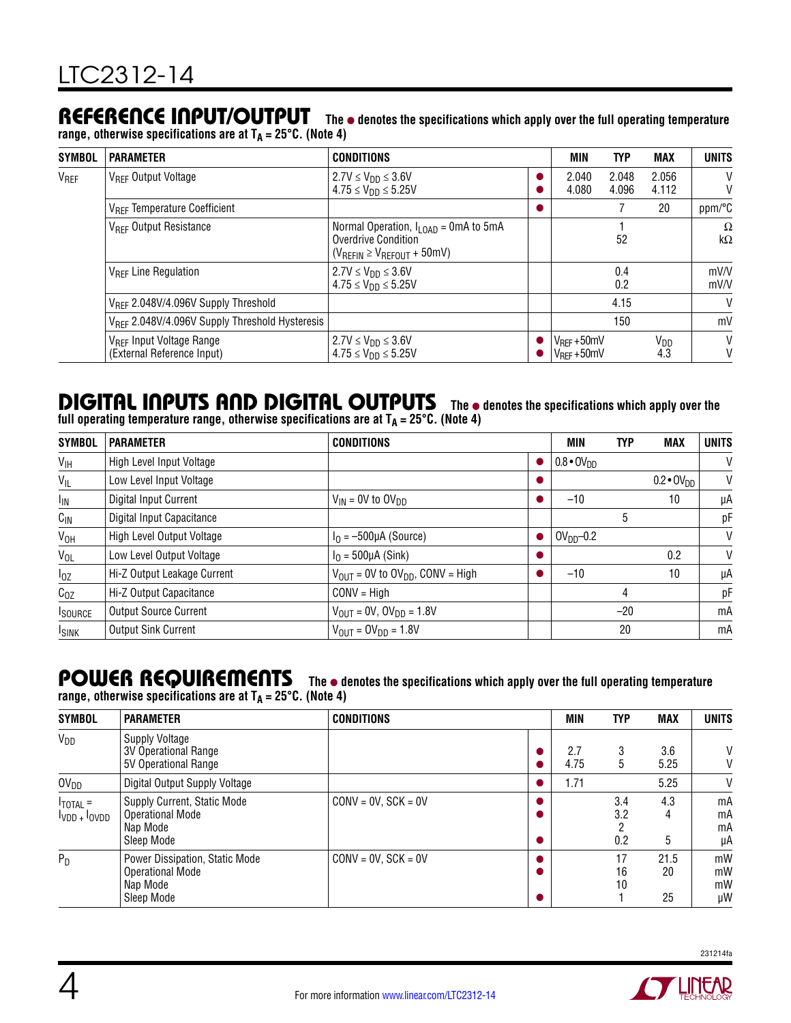### REFERENCE INPUT/OUTPUT The  $\bullet$  denotes the specifications which apply over the full operating temperature

**range, otherwise specifications are at TA = 25°C. (Note 4)**

| SYMBOL           | <b>PARAMETER</b>                                                   | CONDITIONS                                                                                                        | MIN                                  | <b>TYP</b>     | <b>MAX</b>             | <b>UNITS</b>          |
|------------------|--------------------------------------------------------------------|-------------------------------------------------------------------------------------------------------------------|--------------------------------------|----------------|------------------------|-----------------------|
| V <sub>REF</sub> | V <sub>RFF</sub> Output Voltage                                    | $2.7V \leq V_{\text{DD}} \leq 3.6V$<br>$4.75 \le V_{DD} \le 5.25V$                                                | 2.040<br>4.080                       | 2.048<br>4.096 | 2.056<br>4.112         | V<br>V                |
|                  | V <sub>REF</sub> Temperature Coefficient                           |                                                                                                                   |                                      |                | 20                     | ppm/°C                |
|                  | V <sub>RFF</sub> Output Resistance                                 | Normal Operation, $I_{\text{LOAD}} = 0$ mA to 5mA<br>Overdrive Condition<br>$(V_{REFIN} \geq V_{REFOUT} + 50$ mV) |                                      | 52             |                        | $\Omega$<br>$k\Omega$ |
|                  | V <sub>RFF</sub> Line Regulation                                   | $2.7V \leq V_{DD} \leq 3.6V$<br>$4.75 \le V_{DD} \le 5.25V$                                                       |                                      | 0.4<br>0.2     |                        | mV/V<br>mV/V          |
|                  | V <sub>RFF</sub> 2.048V/4.096V Supply Threshold                    |                                                                                                                   |                                      | 4.15           |                        | $\vee$                |
|                  | V <sub>RFF</sub> 2.048V/4.096V Supply Threshold Hysteresis         |                                                                                                                   | $V_{REF} + 50mV$<br>$V_{REF} + 50mV$ | 150            |                        | mV                    |
|                  | V <sub>RFF</sub> Input Voltage Range<br>(External Reference Input) | 2.7V ≤ V <sub>DD</sub> ≤ 3.6V<br>$4.75 \le V_{DD} \le 5.25V$                                                      |                                      |                | V <sub>DD</sub><br>4.3 | V<br>V                |

# **DIGITAL INPUTS AND DIGITAL OUTPUTS** The  $\bullet$  denotes the specifications which apply over the

full operating temperature range, otherwise specifications are at T<sub>A</sub> = 25°C. (Note 4)

| <b>SYMBOL</b>   | <b>PARAMETER</b>             | <b>CONDITIONS</b>                            |           | <b>MIN</b>          | <b>TYP</b> | MAX                   | <b>UNITS</b> |
|-----------------|------------------------------|----------------------------------------------|-----------|---------------------|------------|-----------------------|--------------|
| $V_{\text{IH}}$ | High Level Input Voltage     |                                              | $\bullet$ | $0.8 \cdot 0V_{DD}$ |            |                       | V            |
| $V_{IL}$        | Low Level Input Voltage      |                                              |           |                     |            | $0.2 \cdot O(V_{DD})$ | V            |
| I <sub>IN</sub> | Digital Input Current        | $V_{IN}$ = 0V to $OV_{DD}$                   |           | $-10$               |            | 10                    | μA           |
| $C_{\text{IN}}$ | Digital Input Capacitance    |                                              |           |                     | 5          |                       | pF           |
| $V_{OH}$        | High Level Output Voltage    | $I0 = -500 \mu A$ (Source)                   |           | $OVDD-0.2$          |            |                       | V            |
| $V_{OL}$        | Low Level Output Voltage     | $I0$ = 500µA (Sink)                          |           |                     |            | 0.2                   | V            |
| $I_{0Z}$        | Hi-Z Output Leakage Current  | $V_{OUT}$ = 0V to $OV_{DD}$ , CONV = High    |           | $-10$               |            | 10                    | μA           |
| $C_{OZ}$        | Hi-Z Output Capacitance      | $CONV = High$                                |           |                     | 4          |                       | pF           |
| <b>I</b> SOURCE | <b>Output Source Current</b> | $V_{\text{OUT}} = 0V, 0V_{\text{DD}} = 1.8V$ |           |                     | $-20$      |                       | mA           |
| <b>ISINK</b>    | <b>Output Sink Current</b>   | $V_{OUIT} = OV_{DD} = 1.8V$                  |           |                     | 20         |                       | mA           |

#### POWER REQUIREMENTS The  $\bullet$  denotes the specifications which apply over the full operating temperature **range, otherwise specifications are at TA = 25°C. (Note 4)**

| <b>SYMBOL</b>                          | <b>PARAMETER</b>                                                                    | <b>CONDITIONS</b>     | <b>MIN</b>  | <b>TYP</b>        | <b>MAX</b>       | <b>UNITS</b>         |
|----------------------------------------|-------------------------------------------------------------------------------------|-----------------------|-------------|-------------------|------------------|----------------------|
| $V_{DD}$                               | <b>Supply Voltage</b><br>3V Operational Range<br>5V Operational Range               |                       | 2.7<br>4.75 | 3<br>5            | 3.6<br>5.25      | V<br>V               |
| OV <sub>DD</sub>                       | Digital Output Supply Voltage                                                       |                       | 1.71        |                   | 5.25             | V                    |
| $I_{\text{TOTAL}}$ =<br>$IVDD + IOVDD$ | Supply Current, Static Mode<br><b>Operational Mode</b><br>Nap Mode<br>Sleep Mode    | $CONV = OV. SCK = OV$ |             | 3.4<br>3.2<br>0.2 | 4.3<br>4<br>5    | mA<br>mA<br>mA<br>μA |
| $P_D$                                  | Power Dissipation, Static Mode<br><b>Operational Mode</b><br>Nap Mode<br>Sleep Mode | $CONV = OV, SCK = OV$ |             | 17<br>16<br>10    | 21.5<br>20<br>25 | mW<br>mW<br>mW<br>μW |



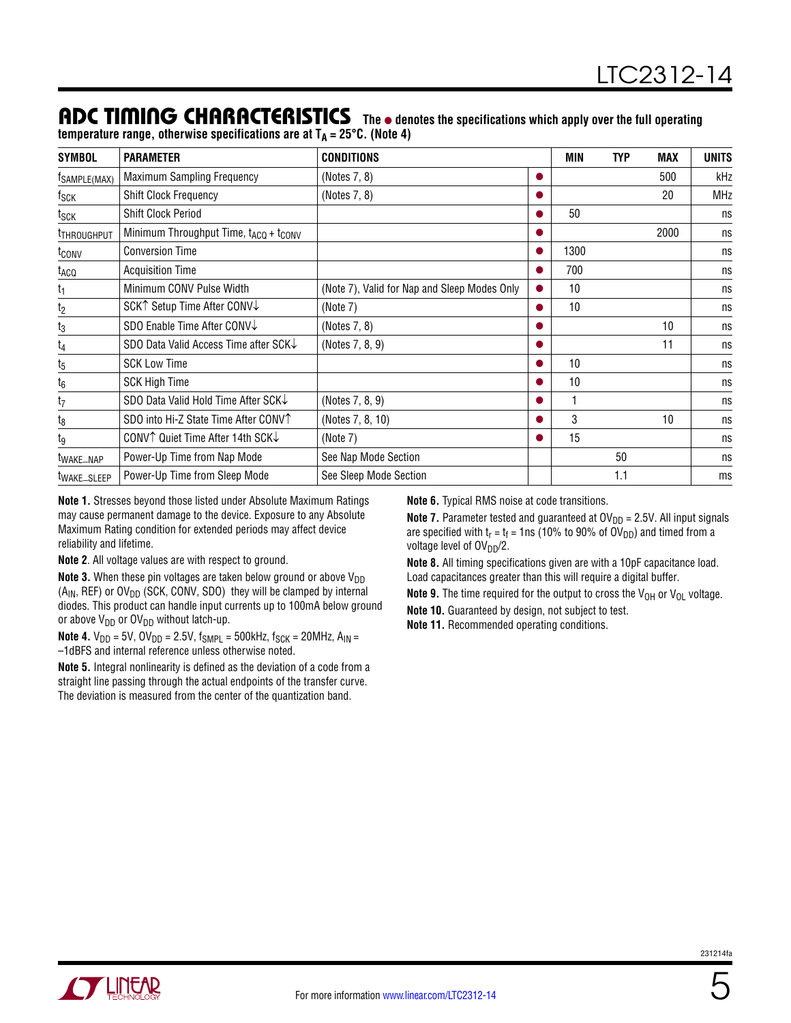### ADC TIMING CHARACTERISTICS The  $\bullet$  denotes the specifications which apply over the full operating

temperature range, otherwise specifications are at T<sub>A</sub> = 25°C. (Note 4)

| <b>SYMBOL</b>            | <b>PARAMETER</b>                                              | <b>CONDITIONS</b>                            | <b>MIN</b> | <b>TYP</b> | <b>MAX</b> | <b>UNITS</b> |
|--------------------------|---------------------------------------------------------------|----------------------------------------------|------------|------------|------------|--------------|
| <sup>t</sup> SAMPLE(MAX) | Maximum Sampling Frequency                                    | (Notes 7, 8)                                 |            |            | 500        | kHz          |
| $t_{\mathsf{SCK}}$       | <b>Shift Clock Frequency</b>                                  | (Notes 7, 8)                                 |            |            | 20         | <b>MHz</b>   |
| t <sub>SCK</sub>         | <b>Shift Clock Period</b>                                     |                                              | 50         |            |            | ns           |
| <b>THROUGHPUT</b>        | Minimum Throughput Time, t <sub>ACQ</sub> + t <sub>CONV</sub> |                                              |            |            | 2000       | ns           |
| t <sub>conv</sub>        | <b>Conversion Time</b>                                        |                                              | 1300       |            |            | ns           |
| t <sub>ACQ</sub>         | <b>Acquisition Time</b>                                       |                                              | 700        |            |            | ns           |
| t <sub>1</sub>           | Minimum CONV Pulse Width                                      | (Note 7), Valid for Nap and Sleep Modes Only | 10         |            |            | ns           |
| $\frac{t_2}{}$           | SCK↑ Setup Time After CONV↓                                   | (Note 7)                                     | 10         |            |            | ns           |
| $\frac{t_3}{}$           | SDO Enable Time After CONV↓                                   | (Notes 7, 8)                                 |            |            | 10         | ns           |
| $t_4$                    | SDO Data Valid Access Time after SCK↓                         | (Notes 7, 8, 9)                              |            |            | 11         | ns           |
| $t_5$                    | <b>SCK Low Time</b>                                           |                                              | 10         |            |            | ns           |
| $t_6$                    | <b>SCK High Time</b>                                          |                                              | 10         |            |            | ns           |
| $t_7$                    | SDO Data Valid Hold Time After SCK↓                           | (Notes 7, 8, 9)                              |            |            |            | ns           |
| t <sub>8</sub>           | SDO into Hi-Z State Time After CONVT                          | (Notes 7, 8, 10)                             | 3          |            | 10         | ns           |
| tg                       | CONV↑ Quiet Time After 14th SCK↓                              | (Note 7)                                     | 15         |            |            | ns           |
| <sup>T</sup> WAKE_NAP    | Power-Up Time from Nap Mode                                   | See Nap Mode Section                         |            | 50         |            | ns           |
| t <sub>WAKE</sub> _SLEEP | Power-Up Time from Sleep Mode                                 | See Sleep Mode Section                       |            | 1.1        |            | ms           |

**Note 1.** Stresses beyond those listed under Absolute Maximum Ratings may cause permanent damage to the device. Exposure to any Absolute Maximum Rating condition for extended periods may affect device reliability and lifetime.

**Note 2**. All voltage values are with respect to ground.

**Note 3.** When these pin voltages are taken below ground or above V<sub>DD</sub>  $(A_{IN}, REF)$  or  $OV<sub>DD</sub>$  (SCK, CONV, SDO) they will be clamped by internal diodes. This product can handle input currents up to 100mA below ground or above  $V_{DD}$  or  $OV_{DD}$  without latch-up.

**Note 4.**  $V_{DD} = 5V$ ,  $OV_{DD} = 2.5V$ ,  $f_{SMPL} = 500kHz$ ,  $f_{SCK} = 20MHz$ ,  $A_{IN} =$ –1dBFS and internal reference unless otherwise noted.

**Note 5.** Integral nonlinearity is defined as the deviation of a code from a straight line passing through the actual endpoints of the transfer curve. The deviation is measured from the center of the quantization band.

**Note 6.** Typical RMS noise at code transitions.

**Note 7.** Parameter tested and guaranteed at  $OV<sub>DD</sub> = 2.5V$ . All input signals are specified with  $t_r = t_f = 1$ ns (10% to 90% of OV<sub>DD</sub>) and timed from a voltage level of OV<sub>DD</sub>/2.

**Note 8.** All timing specifications given are with a 10pF capacitance load. Load capacitances greater than this will require a digital buffer.

**Note 9.** The time required for the output to cross the  $V_{OH}$  or  $V_{OL}$  voltage.

**Note 10.** Guaranteed by design, not subject to test.

**Note 11.** Recommended operating conditions.

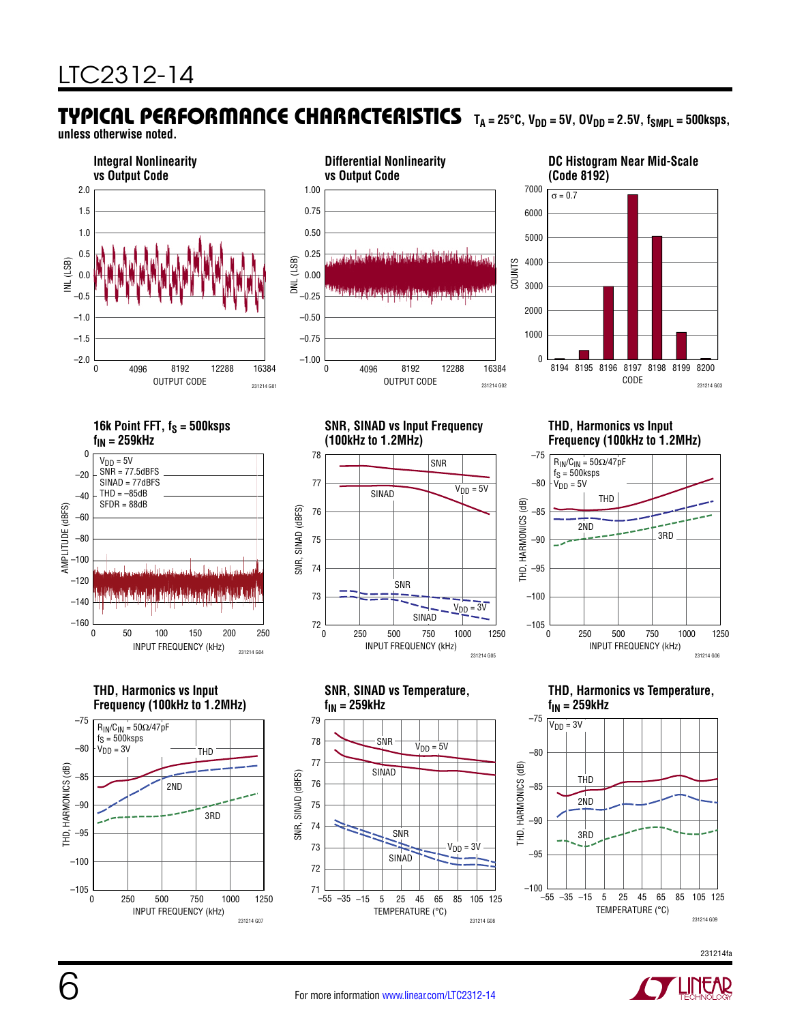# TYPICAL PERFORMANCE CHARACTERISTICS T<sub>A</sub> = 25°C, V<sub>DD</sub> = 5V, OV<sub>DD</sub> = 2.5V, f<sub>SMPL</sub> = 500ksps,

**unless otherwise noted.**









**DC Histogram Near Mid-Scale (Code 8192)**



#### **SNR, SINAD vs Input Frequency (100kHz to 1.2MHz)**



**SNR, SINAD vs Temperature,** 

SNR

SINAD

**fIN = 259kHz**

–55 –35

71

74 73 72

78 77

79

SNR, SINAD (dBFS) 75 76

SNR, SINAD (dBFS)

#### **THD, Harmonics vs Input Frequency (100kHz to 1.2MHz)**



**THD, Harmonics vs Temperature, fIN = 259kHz**







TEMPERATURE (°C)

SNR

SINAD

–15 5 25 45 65 85 105 125

 $V<sub>DD</sub> = 5V$ 

231214 G08

 $V<sub>DD</sub> = 3V$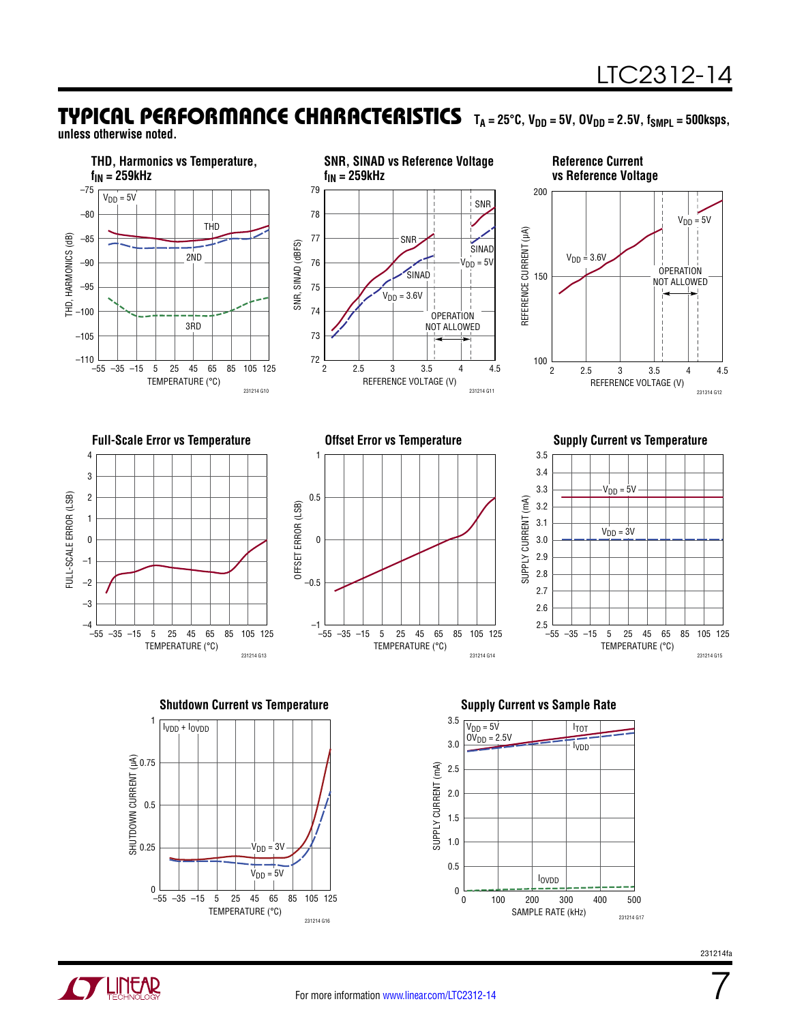#### TYPICAL PERFORMANCE CHARACTERISTICS T<sub>A</sub> = 25°C, V<sub>DD</sub> = 5V, OV<sub>DD</sub> = 2.5V, f<sub>SMPL</sub> = 500ksps, **unless otherwise noted.**





**TLINEAR** 



7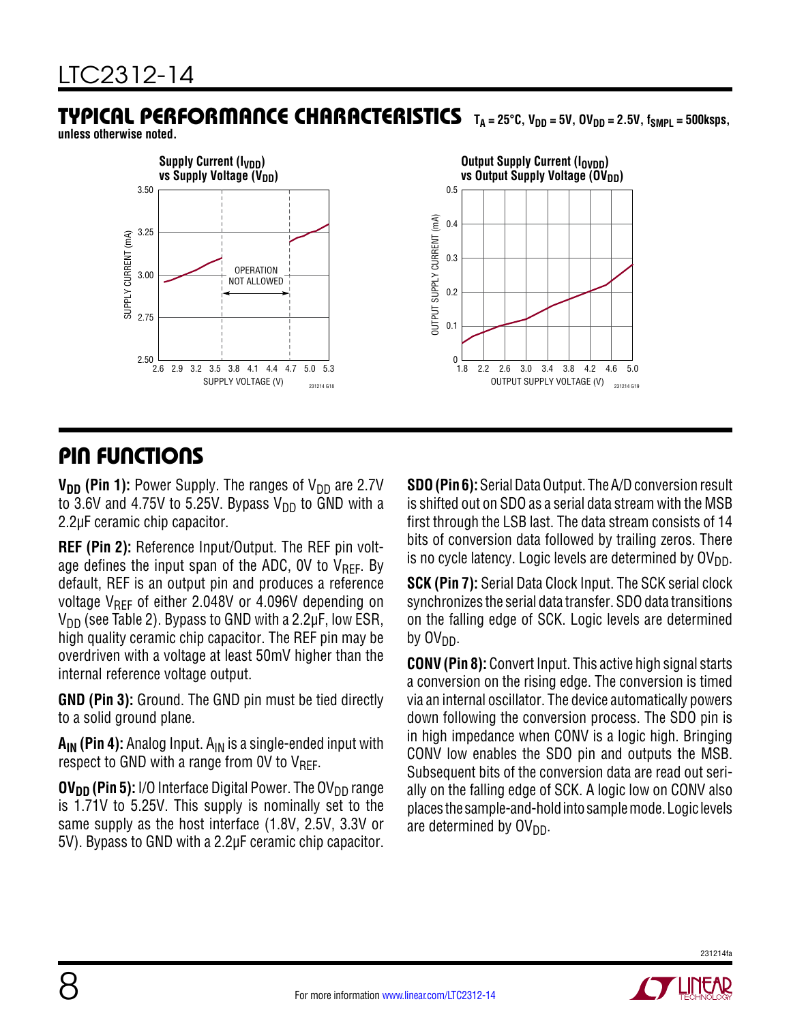# TYPICAL PERFORMANCE CHARACTERISTICS TA=25°C, V<sub>DD</sub>=5V, OV<sub>DD</sub>=2.5V, f<sub>SMPL</sub>=500ksps,

**unless otherwise noted.**



### PIN FUNCTIONS

**V<sub>DD</sub>** (Pin 1): Power Supply. The ranges of V<sub>DD</sub> are 2.7V to 3.6V and 4.75V to 5.25V. Bypass  $V_{DD}$  to GND with a 2.2µF ceramic chip capacitor.

**REF (Pin 2):** Reference Input/Output. The REF pin voltage defines the input span of the ADC, OV to  $V_{REF}$ . By default, REF is an output pin and produces a reference voltage  $V_{\text{RFF}}$  of either 2.048V or 4.096V depending on  $V_{DD}$  (see Table 2). Bypass to GND with a 2.2 $\mu$ F, low ESR, high quality ceramic chip capacitor. The REF pin may be overdriven with a voltage at least 50mV higher than the internal reference voltage output.

**GND (Pin 3):** Ground. The GND pin must be tied directly to a solid ground plane.

**A<sub>IN</sub>** (Pin 4): Analog Input. A<sub>IN</sub> is a single-ended input with respect to GND with a range from 0V to  $V_{\text{RFF}}$ .

**OV<sub>DD</sub>** (Pin 5): I/O Interface Digital Power. The OV<sub>DD</sub> range is 1.71V to 5.25V. This supply is nominally set to the same supply as the host interface (1.8V, 2.5V, 3.3V or 5V). Bypass to GND with a 2.2µF ceramic chip capacitor. **SDO (Pin 6):** Serial Data Output. The A/D conversion result is shifted out on SDO as a serial data stream with the MSB first through the LSB last. The data stream consists of 14 bits of conversion data followed by trailing zeros. There is no cycle latency. Logic levels are determined by  $O(V_{DD})$ .

**SCK (Pin 7):** Serial Data Clock Input. The SCK serial clock synchronizes the serial data transfer. SDO data transitions on the falling edge of SCK. Logic levels are determined by  $OV<sub>DD</sub>$ .

**CONV (Pin 8):** Convert Input. This active high signal starts a conversion on the rising edge. The conversion is timed via an internal oscillator. The device automatically powers down following the conversion process. The SDO pin is in high impedance when CONV is a logic high. Bringing CONV low enables the SDO pin and outputs the MSB. Subsequent bits of the conversion data are read out serially on the falling edge of SCK. A logic low on CONV also places the sample-and-holdintosamplemode. Logic levels are determined by  $O(V_{DD})$ .

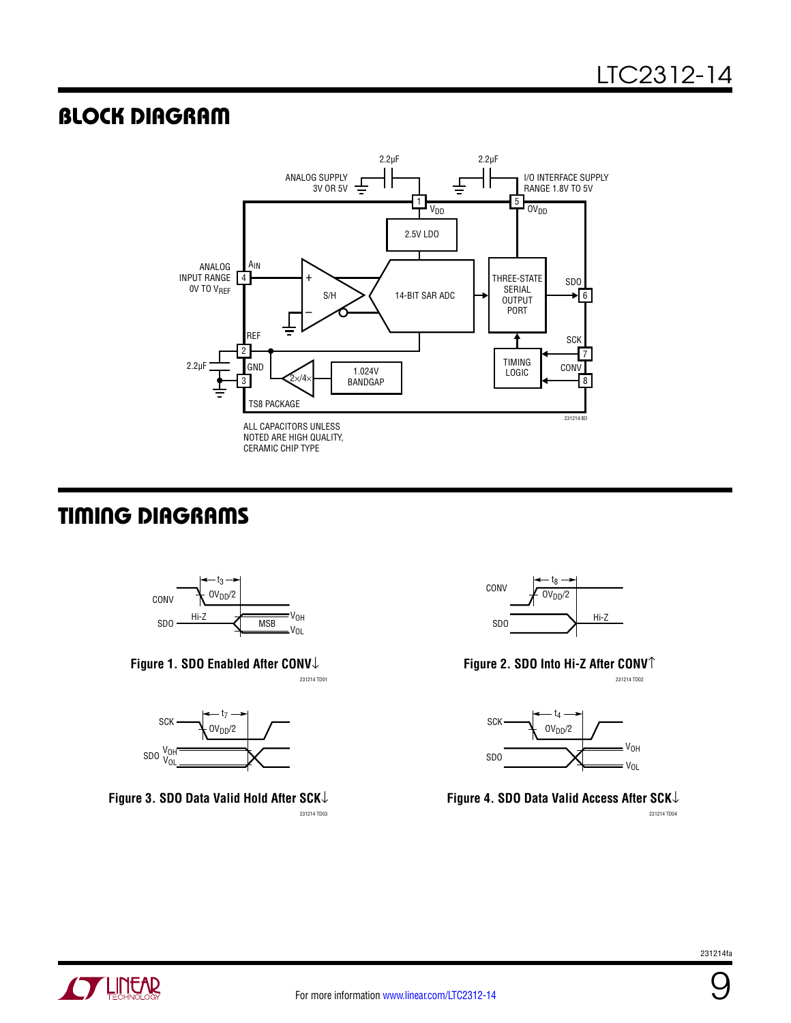### BLOCK DIAGRAM



## TIMING DIAGRAMS







231214 TD03 231214 TD04 **Figure 3. SDO Data Valid Hold After SCK**↓



231214 TD01 231214 TD02 **Figure 2. SDO Into Hi-Z After CONV**↑



**Figure 4. SDO Data Valid Access After SCK**↓

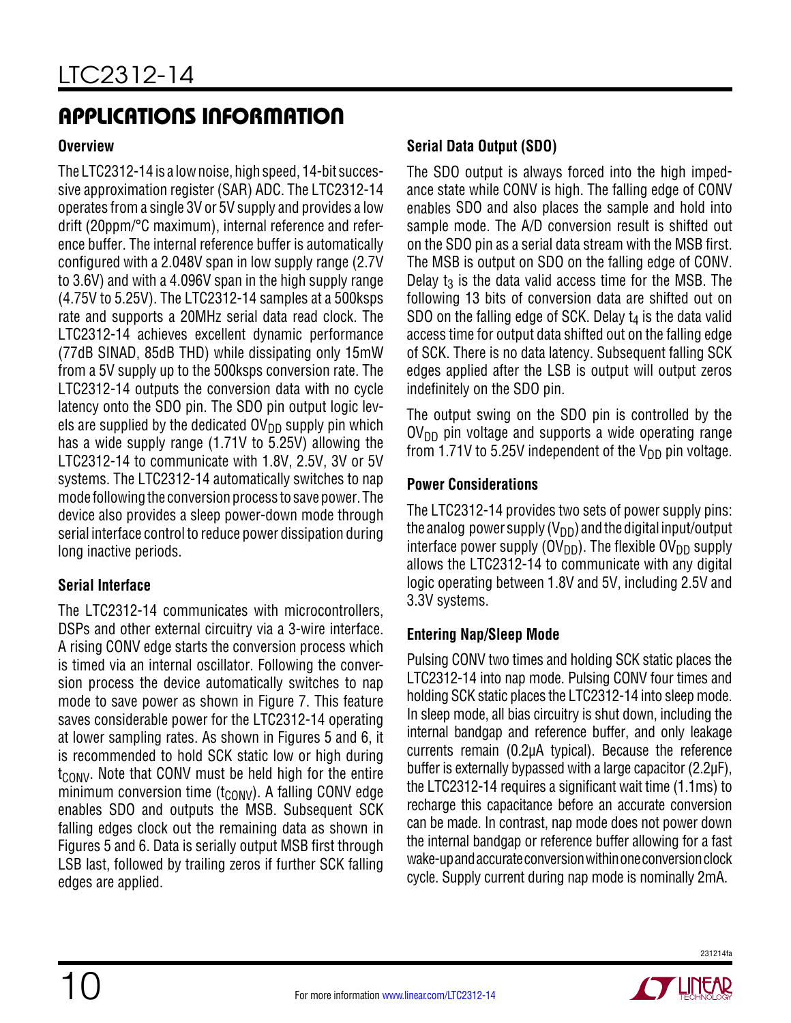#### **Overview**

The LTC2312-14 is a low noise, high speed, 14-bit successive approximation register (SAR) ADC. The LTC2312-14 operates from a single 3V or 5V supply and provides a low drift (20ppm/°C maximum), internal reference and reference buffer. The internal reference buffer is automatically configured with a 2.048V span in low supply range (2.7V to 3.6V) and with a 4.096V span in the high supply range (4.75V to 5.25V). The LTC2312-14 samples at a 500ksps rate and supports a 20MHz serial data read clock. The LTC2312-14 achieves excellent dynamic performance (77dB SINAD, 85dB THD) while dissipating only 15mW from a 5V supply up to the 500ksps conversion rate. The LTC2312-14 outputs the conversion data with no cycle latency onto the SDO pin. The SDO pin output logic levels are supplied by the dedicated  $\text{OV}_{DD}$  supply pin which has a wide supply range (1.71V to 5.25V) allowing the LTC2312-14 to communicate with 1.8V, 2.5V, 3V or 5V systems. The LTC2312-14 automatically switches to nap mode following the conversion process to save power. The device also provides a sleep power-down mode through serial interface control to reduce power dissipation during long inactive periods.

#### **Serial Interface**

The LTC2312-14 communicates with microcontrollers, DSPs and other external circuitry via a 3-wire interface. A rising CONV edge starts the conversion process which is timed via an internal oscillator. Following the conversion process the device automatically switches to nap mode to save power as shown in Figure 7. This feature saves considerable power for the LTC2312-14 operating at lower sampling rates. As shown in Figures 5 and 6, it is recommended to hold SCK static low or high during  $t_{\text{CONV}}$ . Note that CONV must be held high for the entire minimum conversion time  $(t_{\text{CONV}})$ . A falling CONV edge enables SDO and outputs the MSB. Subsequent SCK falling edges clock out the remaining data as shown in Figures 5 and 6. Data is serially output MSB first through LSB last, followed by trailing zeros if further SCK falling edges are applied.

#### **Serial Data Output (SDO)**

The SDO output is always forced into the high impedance state while CONV is high. The falling edge of CONV enables SDO and also places the sample and hold into sample mode. The A/D conversion result is shifted out on the SDO pin as a serial data stream with the MSB first. The MSB is output on SDO on the falling edge of CONV. Delay  $t_3$  is the data valid access time for the MSB. The following 13 bits of conversion data are shifted out on SDO on the falling edge of SCK. Delay  $t_4$  is the data valid access time for output data shifted out on the falling edge of SCK. There is no data latency. Subsequent falling SCK edges applied after the LSB is output will output zeros indefinitely on the SDO pin.

The output swing on the SDO pin is controlled by the  $O(V_{DD}$  pin voltage and supports a wide operating range from 1.71V to 5.25V independent of the  $V_{DD}$  pin voltage.

#### **Power Considerations**

The LTC2312-14 provides two sets of power supply pins: the analog power supply  $(V_{DD})$  and the digital input/output interface power supply ( $\text{OV}_{\text{DD}}$ ). The flexible  $\text{OV}_{\text{DD}}$  supply allows the LTC2312-14 to communicate with any digital logic operating between 1.8V and 5V, including 2.5V and 3.3V systems.

#### **Entering Nap/Sleep Mode**

Pulsing CONV two times and holding SCK static places the LTC2312-14 into nap mode. Pulsing CONV four times and holding SCK static places the LTC2312-14 into sleep mode. In sleep mode, all bias circuitry is shut down, including the internal bandgap and reference buffer, and only leakage currents remain (0.2µA typical). Because the reference buffer is externally bypassed with a large capacitor (2.2µF), the LTC2312-14 requires a significant wait time (1.1ms) to recharge this capacitance before an accurate conversion can be made. In contrast, nap mode does not power down the internal bandgap or reference buffer allowing for a fast wake-up and accurate conversion within one conversion clock cycle. Supply current during nap mode is nominally 2mA.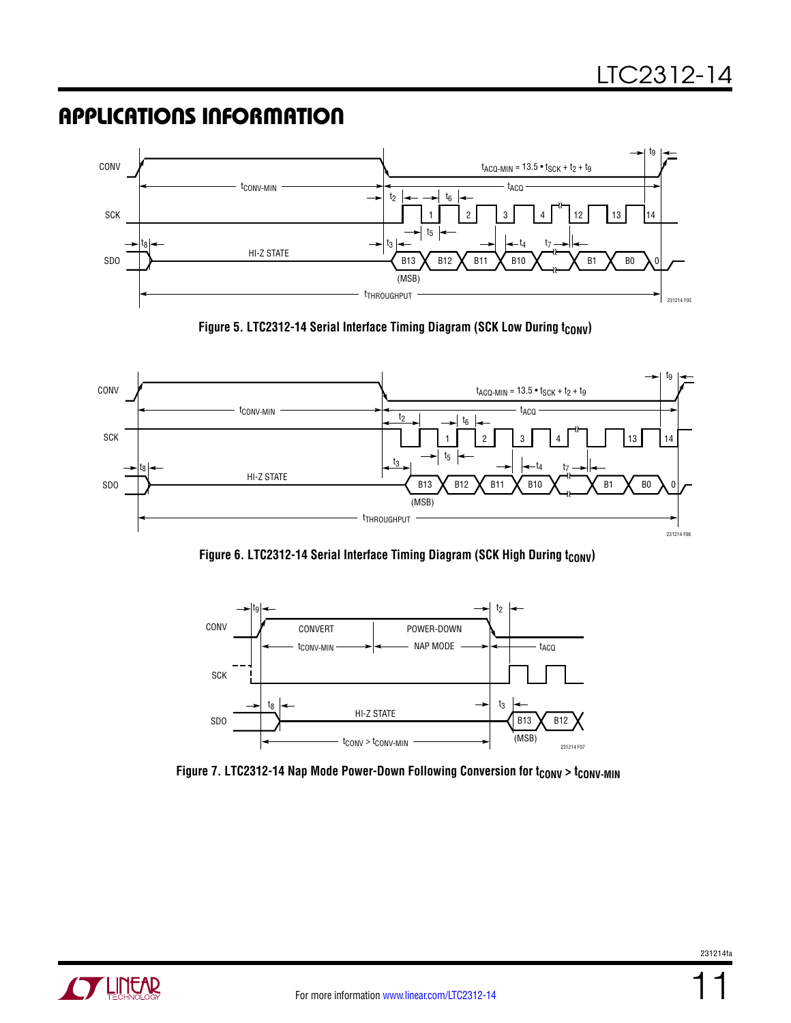

Figure 5. LTC2312-14 Serial Interface Timing Diagram (SCK Low During t<sub>CONV</sub>)



Figure 6. LTC2312-14 Serial Interface Timing Diagram (SCK High During t<sub>CONV</sub>)



Figure 7. LTC2312-14 Nap Mode Power-Down Following Conversion for t<sub>CONV</sub> > t<sub>CONV-MIN</sub>



11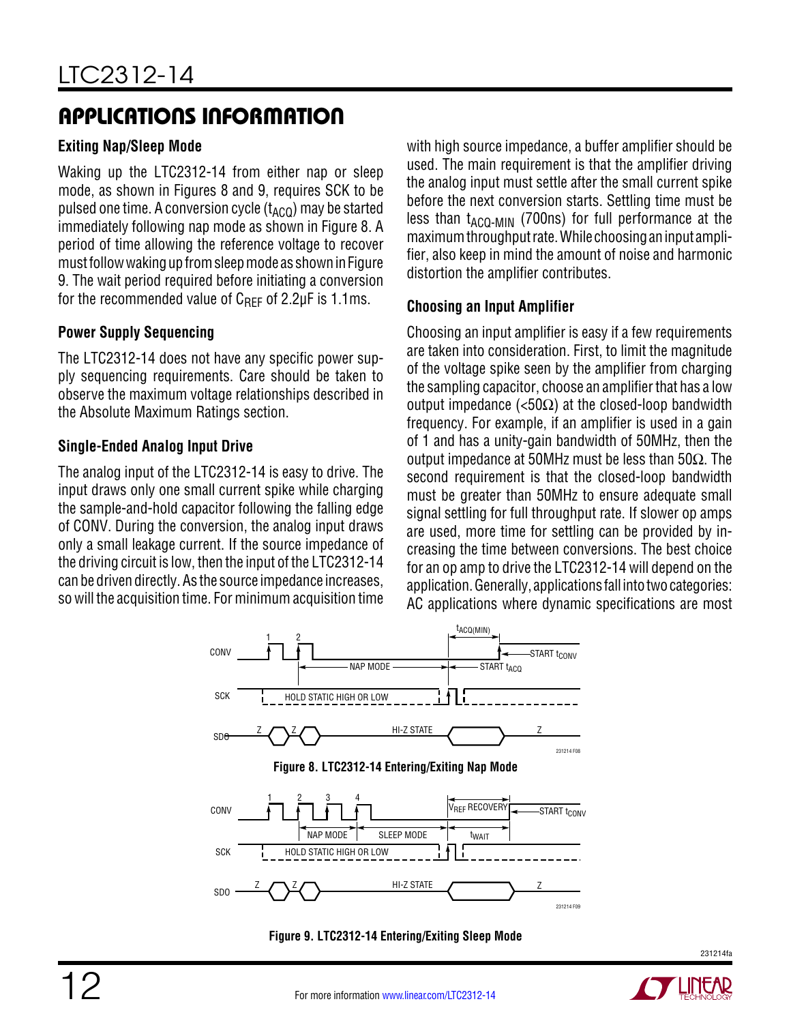#### **Exiting Nap/Sleep Mode**

Waking up the LTC2312-14 from either nap or sleep mode, as shown in Figures 8 and 9, requires SCK to be pulsed one time. A conversion cycle  $(t_{ACO})$  may be started immediately following nap mode as shown in Figure 8. A period of time allowing the reference voltage to recover must follow waking up from sleep mode as shown in Figure 9. The wait period required before initiating a conversion for the recommended value of  $C_{\text{RFF}}$  of 2.2µF is 1.1ms.

#### **Power Supply Sequencing**

The LTC2312-14 does not have any specific power supply sequencing requirements. Care should be taken to observe the maximum voltage relationships described in the Absolute Maximum Ratings section.

#### **Single-Ended Analog Input Drive**

The analog input of the LTC2312-14 is easy to drive. The input draws only one small current spike while charging the sample-and-hold capacitor following the falling edge of CONV. During the conversion, the analog input draws only a small leakage current. If the source impedance of the driving circuit is low, then the input of the LTC2312-14 can be driven directly. As the source impedance increases, so will the acquisition time. For minimum acquisition time

with high source impedance, a buffer amplifier should be used. The main requirement is that the amplifier driving the analog input must settle after the small current spike before the next conversion starts. Settling time must be less than  $t_{ACQ-MIN}$  (700ns) for full performance at the maximumthroughputrate. While choosinganinput amplifier, also keep in mind the amount of noise and harmonic distortion the amplifier contributes.

#### **Choosing an Input Amplifier**

Choosing an input amplifier is easy if a few requirements are taken into consideration. First, to limit the magnitude of the voltage spike seen by the amplifier from charging the sampling capacitor, choose an amplifier that has a low output impedance  $\langle$ <50Ω) at the closed-loop bandwidth frequency. For example, if an amplifier is used in a gain of 1 and has a unity-gain bandwidth of 50MHz, then the output impedance at 50MHz must be less than 50Ω. The second requirement is that the closed-loop bandwidth must be greater than 50MHz to ensure adequate small signal settling for full throughput rate. If slower op amps are used, more time for settling can be provided by increasing the time between conversions. The best choice for an op amp to drive the LTC2312-14 will depend on the application. Generally, applications fall into two categories: AC applications where dynamic specifications are most



**Figure 9. LTC2312-14 Entering/Exiting Sleep Mode**

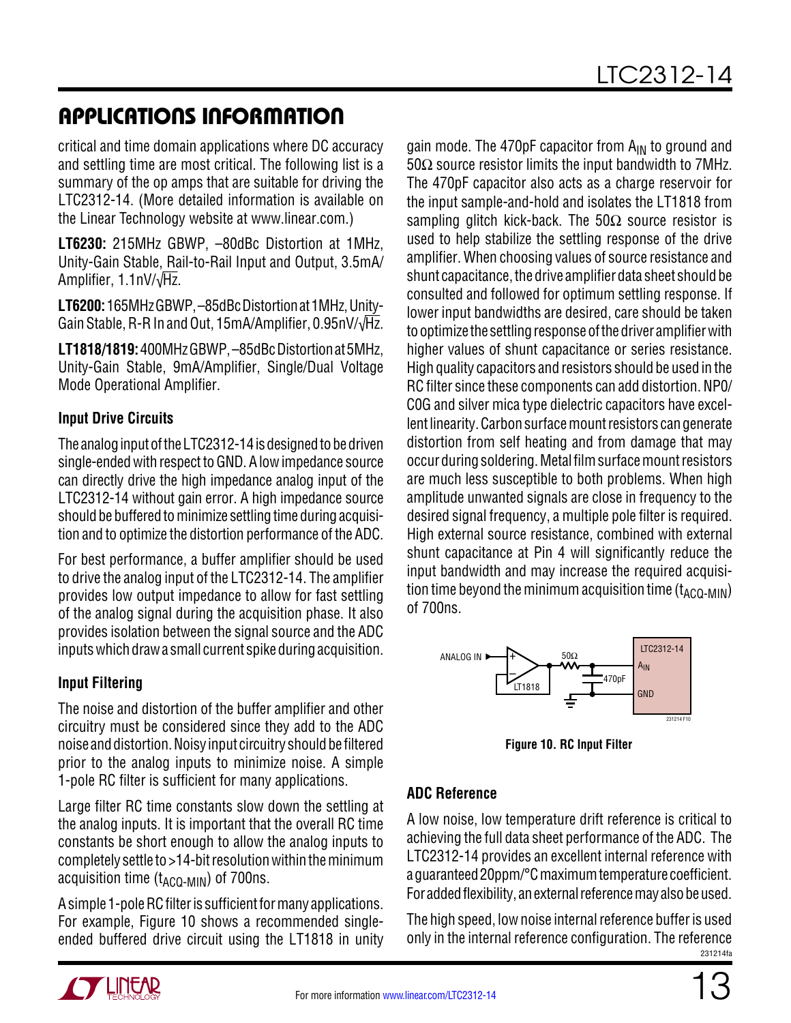critical and time domain applications where DC accuracy and settling time are most critical. The following list is a summary of the op amps that are suitable for driving the LTC2312-14. (More detailed information is available on the Linear Technology website at www.linear.com.)

**LT6230:** 215MHz GBWP, –80dBc Distortion at 1MHz, Unity-Gain Stable, Rail-to-Rail Input and Output, 3.5mA/ Amplifier, 1.1nV/√Hz.

**LT6200:** 165MHzGBWP, –85dBcDistortionat 1MHz, Unity-Gain Stable, R-R In and Out, 15mA/Amplifier, 0.95nV/√Hz.

**LT1818/1819:** 400MHzGBWP, –85dBcDistortionat 5MHz, Unity-Gain Stable, 9mA/Amplifier, Single/Dual Voltage Mode Operational Amplifier.

#### **Input Drive Circuits**

The analog input of the LTC2312-14 is designed to be driven single-ended with respect to GND. A low impedance source can directly drive the high impedance analog input of the LTC2312-14 without gain error. A high impedance source should be buffered to minimize settling time during acquisition and to optimize the distortion performance of the ADC.

For best performance, a buffer amplifier should be used to drive the analog input of the LTC2312-14. The amplifier provides low output impedance to allow for fast settling of the analog signal during the acquisition phase. It also provides isolation between the signal source and the ADC inputs which draw a small current spike during acquisition.

#### **Input Filtering**

The noise and distortion of the buffer amplifier and other circuitry must be considered since they add to the ADC noise and distortion. Noisy input circuitry should be filtered prior to the analog inputs to minimize noise. A simple 1-pole RC filter is sufficient for many applications.

Large filter RC time constants slow down the settling at the analog inputs. It is important that the overall RC time constants be short enough to allow the analog inputs to completely settle to  $>14$ -bit resolution within the minimum acquisition time  $(t_{ACO-MIN})$  of 700ns.

A simple 1-pole RC filter is sufficient for many applications. For example, Figure 10 shows a recommended singleended buffered drive circuit using the LT1818 in unity gain mode. The 470pF capacitor from  $A_{IN}$  to ground and 50 $\Omega$  source resistor limits the input bandwidth to 7MHz. The 470pF capacitor also acts as a charge reservoir for the input sample-and-hold and isolates the LT1818 from sampling glitch kick-back. The  $50\Omega$  source resistor is used to help stabilize the settling response of the drive amplifier. When choosing values of source resistance and shunt capacitance, the drive amplifier data sheet should be consulted and followed for optimum settling response. If lower input bandwidths are desired, care should be taken to optimize the settling response of the driver amplifier with higher values of shunt capacitance or series resistance. High quality capacitors and resistors should be used in the RC filter since these components can add distortion. NP0/ C0G and silver mica type dielectric capacitors have excellent linearity. Carbon surface mount resistors can generate distortion from self heating and from damage that may occur during soldering. Metal film surface mount resistors are much less susceptible to both problems. When high amplitude unwanted signals are close in frequency to the desired signal frequency, a multiple pole filter is required. High external source resistance, combined with external shunt capacitance at Pin 4 will significantly reduce the input bandwidth and may increase the required acquisition time beyond the minimum acquisition time  $(t_{ACO-MIN})$ of 700ns.



**Figure 10. RC Input Filter**

#### **ADC Reference**

A low noise, low temperature drift reference is critical to achieving the full data sheet performance of the ADC. The LTC2312-14 provides an excellent internal reference with a guaranteed 20ppm/°C maximumtemperature coefficient. For added flexibility, an external reference may also be used.

231214fa The high speed, low noise internal reference buffer is used only in the internal reference configuration. The reference

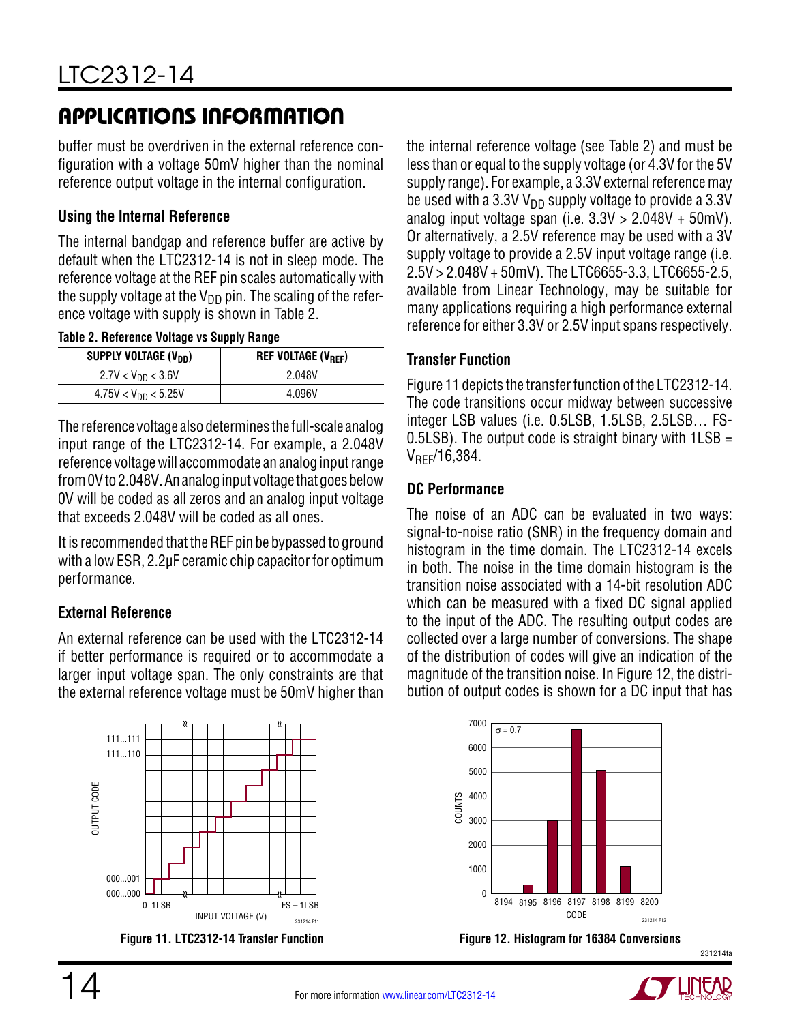buffer must be overdriven in the external reference configuration with a voltage 50mV higher than the nominal reference output voltage in the internal configuration.

#### **Using the Internal Reference**

The internal bandgap and reference buffer are active by default when the LTC2312-14 is not in sleep mode. The reference voltage at the REF pin scales automatically with the supply voltage at the  $V_{DD}$  pin. The scaling of the reference voltage with supply is shown in Table 2.

**Table 2. Reference Voltage vs Supply Range** 

| SUPPLY VOLTAGE (V <sub>DD</sub> ) | <b>REF VOLTAGE (V<sub>REF</sub>)</b> |
|-----------------------------------|--------------------------------------|
| $2.7V < V_{DD} < 3.6V$            | 2.048V                               |
| $4.75V < V_{DD} < 5.25V$          | 4.096V                               |

The reference voltage alsodetermines the full-scale analog input range of the LTC2312-14. For example, a 2.048V reference voltage will accommodate an analog input range from 0V to 2.048V. An analog input voltage that goes below 0V will be coded as all zeros and an analog input voltage that exceeds 2.048V will be coded as all ones.

It is recommended that the REF pin be bypassed to ground with a low ESR, 2.2µF ceramic chip capacitor for optimum performance.

#### **External Reference**

An external reference can be used with the LTC2312-14 if better performance is required or to accommodate a larger input voltage span. The only constraints are that the external reference voltage must be 50mV higher than



the internal reference voltage (see Table 2) and must be less than or equal to the supply voltage (or 4.3V for the 5V supply range). For example, a 3.3V external reference may be used with a 3.3V  $V_{DD}$  supply voltage to provide a 3.3V analog input voltage span (i.e.  $3.3V > 2.048V + 50mV$ ). Or alternatively, a 2.5V reference may be used with a 3V supply voltage to provide a 2.5V input voltage range (i.e. 2.5V > 2.048V + 50mV). The LTC6655-3.3, LTC6655-2.5, available from Linear Technology, may be suitable for many applications requiring a high performance external reference for either 3.3V or 2.5V input spans respectively.

#### **Transfer Function**

Figure 11 depicts the transfer function of the LTC2312-14. The code transitions occur midway between successive integer LSB values (i.e. 0.5LSB, 1.5LSB, 2.5LSB… FS-0.5LSB). The output code is straight binary with  $1LSB =$ VREF/16,384.

#### **DC Performance**

The noise of an ADC can be evaluated in two ways: signal-to-noise ratio (SNR) in the frequency domain and histogram in the time domain. The LTC2312-14 excels in both. The noise in the time domain histogram is the transition noise associated with a 14-bit resolution ADC which can be measured with a fixed DC signal applied to the input of the ADC. The resulting output codes are collected over a large number of conversions. The shape of the distribution of codes will give an indication of the magnitude of the transition noise. In Figure 12, the distribution of output codes is shown for a DC input that has



**Figure 11. LTC2312-14 Transfer Function Figure 12. Histogram for 16384 Conversions**



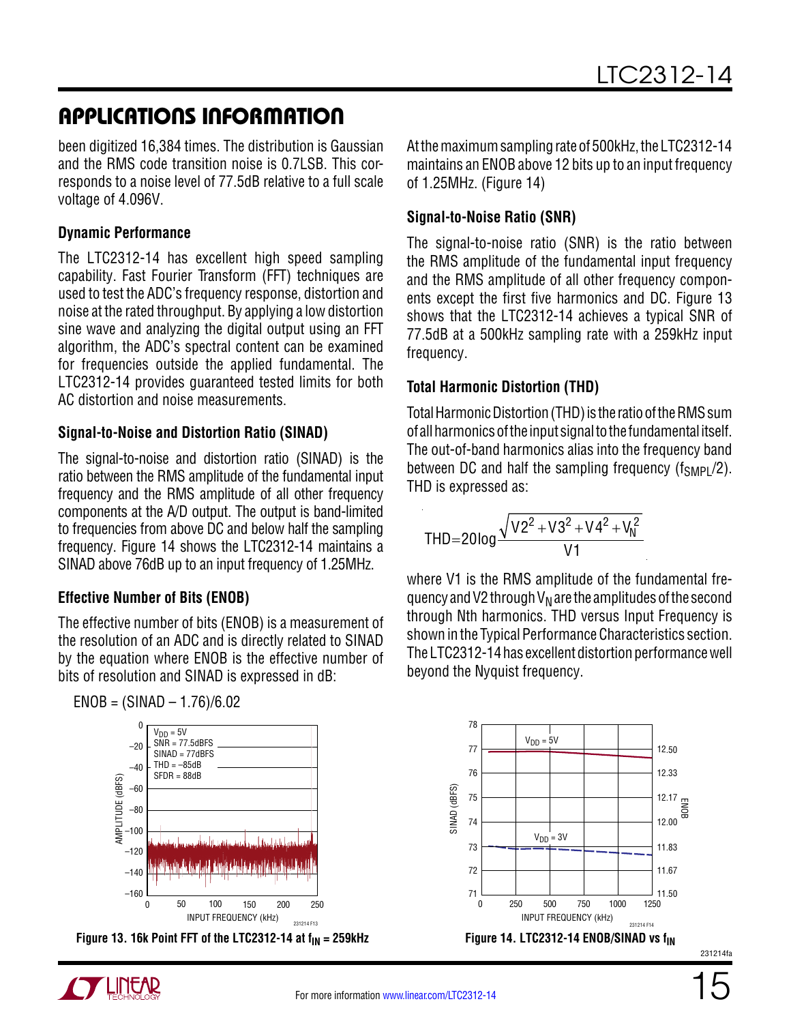been digitized 16,384 times. The distribution is Gaussian and the RMS code transition noise is 0.7LSB. This corresponds to a noise level of 77.5dB relative to a full scale voltage of 4.096V.

### **Dynamic Performance**

The LTC2312-14 has excellent high speed sampling capability. Fast Fourier Transform (FFT) techniques are used to test the ADC's frequency response, distortion and noise at the rated throughput. By applying a low distortion sine wave and analyzing the digital output using an FFT algorithm, the ADC's spectral content can be examined for frequencies outside the applied fundamental. The LTC2312-14 provides guaranteed tested limits for both AC distortion and noise measurements.

### **Signal-to-Noise and Distortion Ratio (SINAD)**

The signal-to-noise and distortion ratio (SINAD) is the ratio between the RMS amplitude of the fundamental input frequency and the RMS amplitude of all other frequency components at the A/D output. The output is band-limited to frequencies from above DC and below half the sampling frequency. Figure 14 shows the LTC2312-14 maintains a SINAD above 76dB up to an input frequency of 1.25MHz.

### **Effective Number of Bits (ENOB)**

 $ENOB = (SINAD - 1.76)/6.02$ 

The effective number of bits (ENOB) is a measurement of the resolution of an ADC and is directly related to SINAD by the equation where ENOB is the effective number of bits of resolution and SINAD is expressed in dB:



**Figure 13. 16k Point FFT of the LTC2312-14 at f<sub>IN</sub> = 259kHz <b>Figure 14. LTC2312-14 ENOB/SINAD vs f**<sub>IN</sub>



#### **Signal-to-Noise Ratio (SNR)**

The signal-to-noise ratio (SNR) is the ratio between the RMS amplitude of the fundamental input frequency and the RMS amplitude of all other frequency components except the first five harmonics and DC. Figure 13 shows that the LTC2312-14 achieves a typical SNR of 77.5dB at a 500kHz sampling rate with a 259kHz input frequency.

### **Total Harmonic Distortion (THD)**

Total Harmonic Distortion (THD) is the ratio of the RMS sum of all harmonics of the input signal to the fundamental itself. The out-of-band harmonics alias into the frequency band between DC and half the sampling frequency ( $f_{SMP1}/2$ ). THD is expressed as:

$$
THD = 20\log \frac{\sqrt{V2^2 + V3^2 + V4^2 + V_N^2}}{V1}
$$

where V1 is the RMS amplitude of the fundamental frequency and V2 through  $V_N$  are the amplitudes of the second through Nth harmonics. THD versus Input Frequency is shown in the Typical Performance Characteristics section. The LTC2312-14 has excellent distortion performance well beyond the Nyquist frequency.



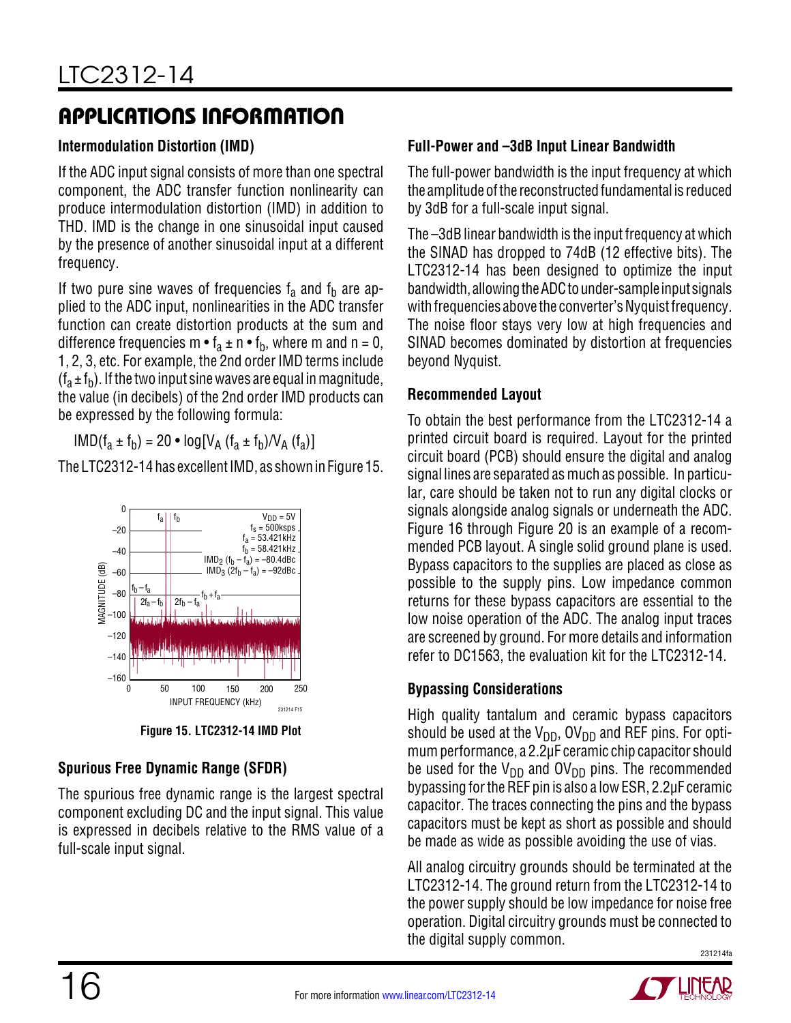#### **Intermodulation Distortion (IMD)**

If the ADC input signal consists of more than one spectral component, the ADC transfer function nonlinearity can produce intermodulation distortion (IMD) in addition to THD. IMD is the change in one sinusoidal input caused by the presence of another sinusoidal input at a different frequency.

If two pure sine waves of frequencies  $f_a$  and  $f_b$  are applied to the ADC input, nonlinearities in the ADC transfer function can create distortion products at the sum and difference frequencies m  $\bullet$  f<sub>a</sub>  $\pm$  n  $\bullet$  f<sub>b</sub>, where m and n = 0, 1, 2, 3, etc. For example, the 2nd order IMD terms include  $(f_a \pm f_b)$ . If the two input sine waves are equal in magnitude, the value (in decibels) of the 2nd order IMD products can be expressed by the following formula:

 $IMD(f<sub>a</sub> \pm f<sub>b</sub>) = 20 \cdot log[V<sub>A</sub> (f<sub>a</sub> \pm f<sub>b</sub>)/V<sub>A</sub> (f<sub>a</sub>)]$ 

The LTC2312-14 has excellent IMD, as shown in Figure 15.



**Figure 15. LTC2312-14 IMD Plot**

#### **Spurious Free Dynamic Range (SFDR)**

The spurious free dynamic range is the largest spectral component excluding DC and the input signal. This value is expressed in decibels relative to the RMS value of a full-scale input signal.

#### **Full-Power and –3dB Input Linear Bandwidth**

The full-power bandwidth is the input frequency at which the amplitude of the reconstructed fundamental is reduced by 3dB for a full-scale input signal.

The –3dB linear bandwidth is the input frequency at which the SINAD has dropped to 74dB (12 effective bits). The LTC2312-14 has been designed to optimize the input bandwidth, allowing the ADC to under-sample input signals with frequencies above the converter's Nyquist frequency. The noise floor stays very low at high frequencies and SINAD becomes dominated by distortion at frequencies beyond Nyquist.

#### **Recommended Layout**

To obtain the best performance from the LTC2312-14 a printed circuit board is required. Layout for the printed circuit board (PCB) should ensure the digital and analog signal lines are separated as much as possible. In particular, care should be taken not to run any digital clocks or signals alongside analog signals or underneath the ADC. Figure 16 through Figure 20 is an example of a recommended PCB layout. A single solid ground plane is used. Bypass capacitors to the supplies are placed as close as possible to the supply pins. Low impedance common returns for these bypass capacitors are essential to the low noise operation of the ADC. The analog input traces are screened by ground. For more details and information refer to DC1563, the evaluation kit for the LTC2312-14.

#### **Bypassing Considerations**

High quality tantalum and ceramic bypass capacitors should be used at the  $V_{DD}$ , OV<sub>DD</sub> and REF pins. For optimum performance, a 2.2µF ceramic chip capacitor should be used for the  $V_{DD}$  and  $OV_{DD}$  pins. The recommended bypassing for the REF pin is also a low ESR, 2.2µF ceramic capacitor. The traces connecting the pins and the bypass capacitors must be kept as short as possible and should be made as wide as possible avoiding the use of vias.

All analog circuitry grounds should be terminated at the LTC2312-14. The ground return from the LTC2312-14 to the power supply should be low impedance for noise free operation. Digital circuitry grounds must be connected to the digital supply common.

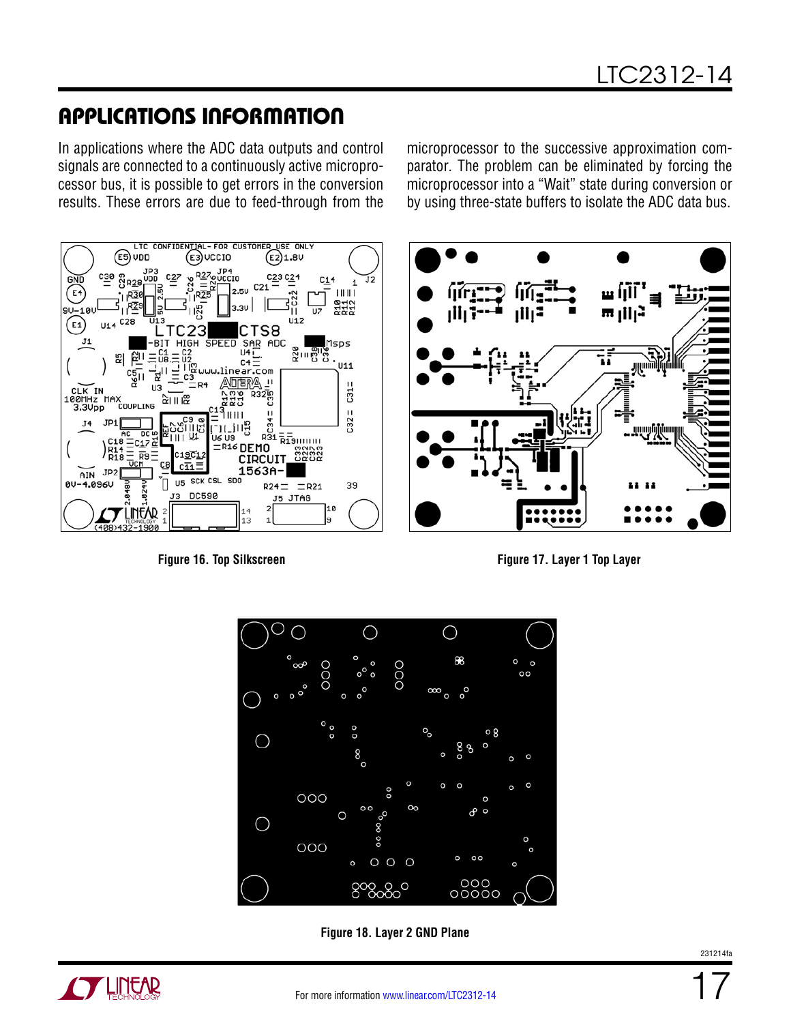In applications where the ADC data outputs and control signals are connected to a continuously active microprocessor bus, it is possible to get errors in the conversion results. These errors are due to feed-through from the

LTC CONFIDENTIAL-FOR CUSTOMER USE ONL  $(E5)$  VDD  $\binom{2}{5}$ VCCIO  $\binom{2}{2}$ 1.8V <u><sub>대</sub> 중</del> 전 자주</u> C<sub>23</sub> C<sub>24</sub>  $C<sub>27</sub>$ .<br>∷r∩  $C14$ J2  $\widehat{E}$  $11111$ R112<br>R112  $\overline{U}$  $\overline{u}$ <sub>12</sub>  $C28$ E<sub>1</sub>  $U14$ CTS8 SAR ADC **SPFFD HIGH**  $1505$ គ្ន<sub>ី ព</sub>្រឹង្គក្នុ  $\overline{u}$ 4 $\overline{u}$ 있  $C4$ U11 ligwww.linear.com **ANDIERA**  $\overline{11}$  $C31 =$ D4 LOOMHZ  $\overline{113}$ N<br>P COUPLING R32<sub>m</sub> 이미요 점잡  $3.3U<sub>DD</sub>$  $C32 =$  $JPI$  $J<sub>4</sub>$ に川島  $R_{31} = \frac{1}{R_{12}}$ Ш U6 US 드C17요  $E<sub>R16</sub>$  DEMO C19C12 R<sub>18</sub> R9 CIRCUIT  $c\overline{11}$  $ATN$  JP2 1563A-US SCK CSL SDO 'n 00-4.096U  $R24 = R21$ 39 DC590 ć J5 JTAG 10 **JNFAR** 12

microprocessor to the successive approximation comparator. The problem can be eliminated by forcing the microprocessor into a "Wait" state during conversion or by using three-state buffers to isolate the ADC data bus.







**Figure 18. Layer 2 GND Plane**

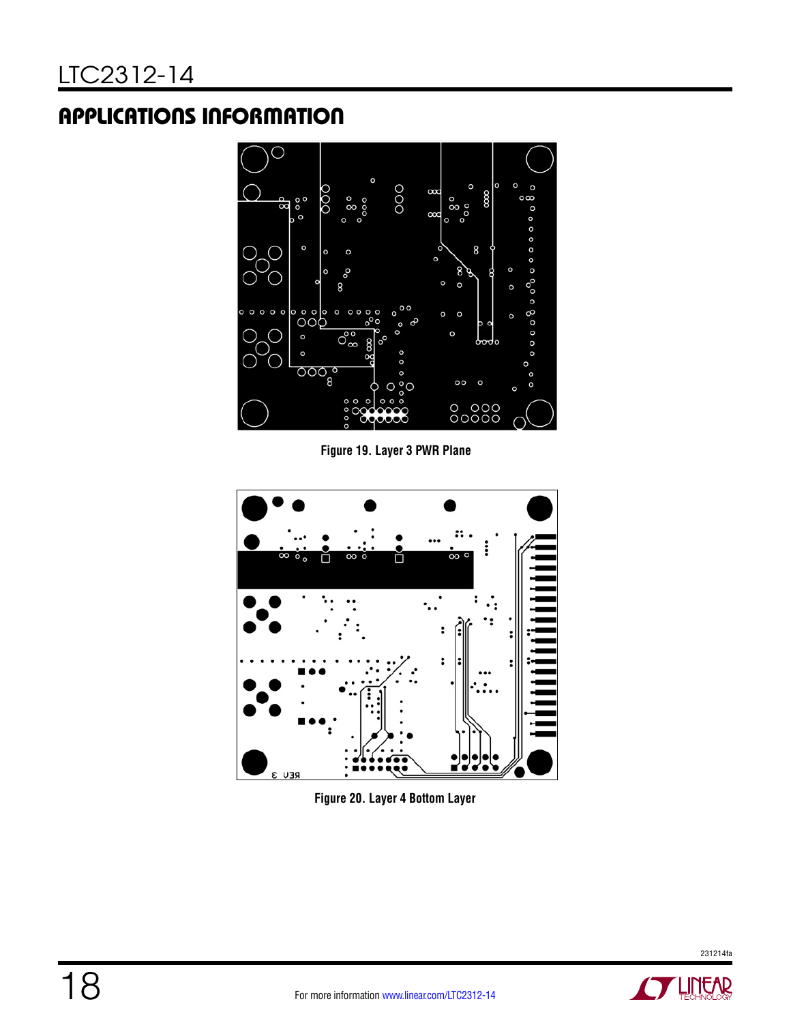

**Figure 19. Layer 3 PWR Plane**



**Figure 20. Layer 4 Bottom Layer**

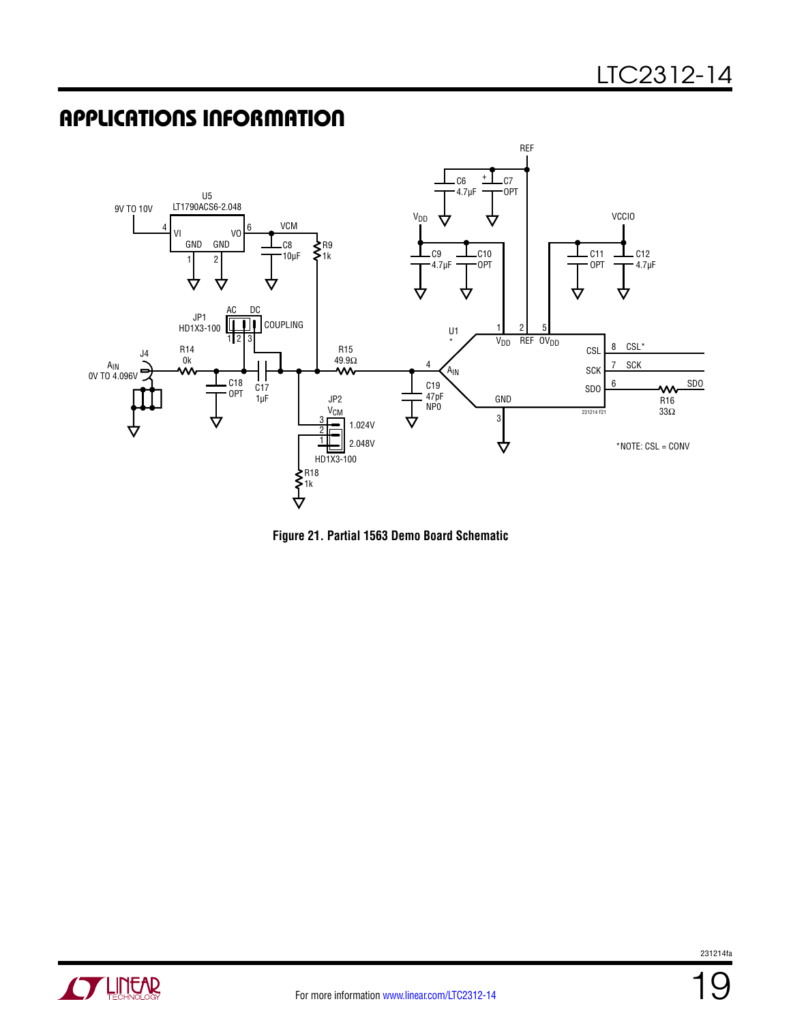

**Figure 21. Partial 1563 Demo Board Schematic**

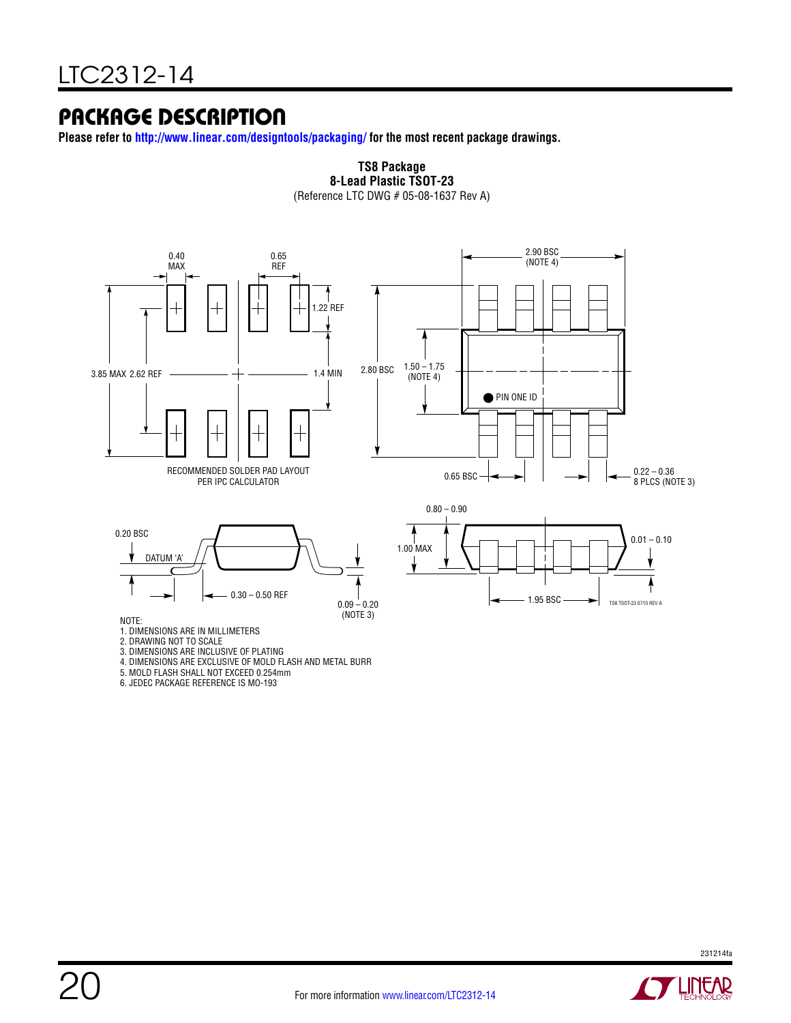### PACKAGE DESCRIPTION

**Please refer to http://www.linear.com/designtools/packaging/ for the most recent package drawings.**



**TS8 Package 8-Lead Plastic TSOT-23**

6. JEDEC PACKAGE REFERENCE IS MO-193

20

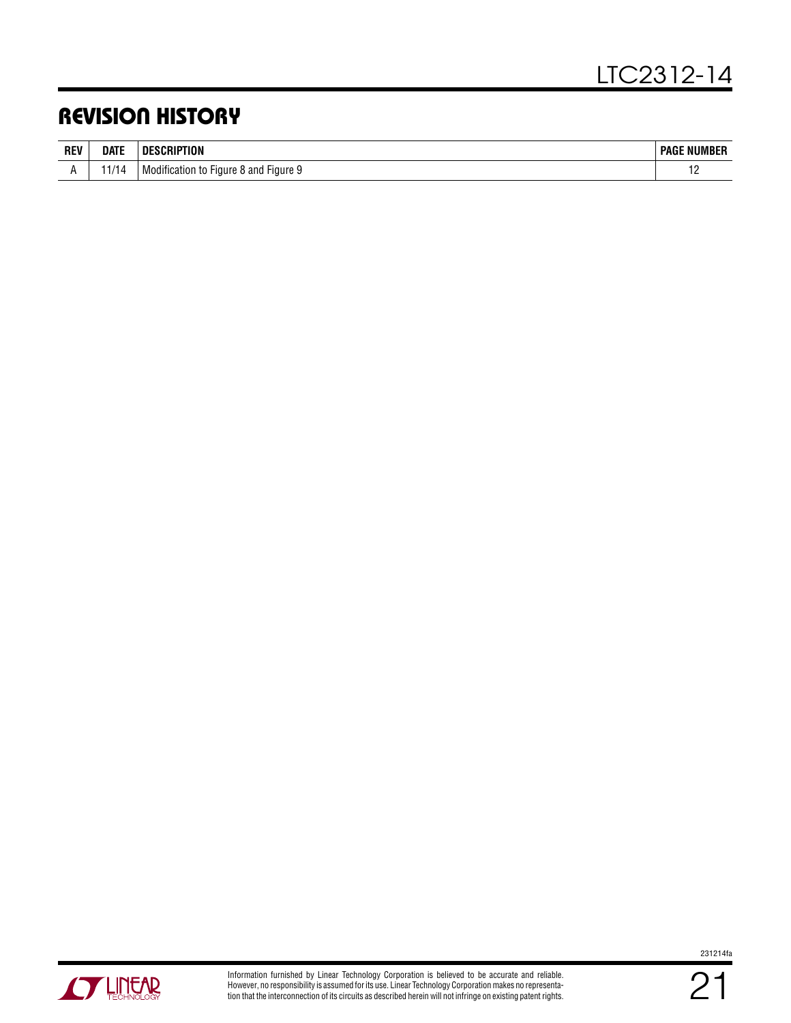## REVISION HISTORY

| <b>REV</b> | <b>DATE</b> | UUN                                                          | : NUMBER<br><b>PAG</b>   |
|------------|-------------|--------------------------------------------------------------|--------------------------|
|            |             | * Figure S<br>and<br>Modifica <sup>r</sup><br>Figure<br>וחזו | $\overline{\phantom{0}}$ |